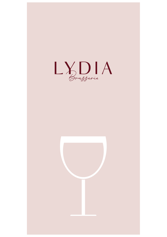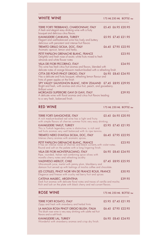| <b>WHITE WINE</b>                                                                                                                                                                         |  | 175 ML 250 ML BOTTLE 750ml |
|-------------------------------------------------------------------------------------------------------------------------------------------------------------------------------------------|--|----------------------------|
| TERRE FORTI TREBBIANO, CHARDONNAY, ITALY<br>A fresh and elegant easy drinking wine with a fruity<br>bouquet and delicious citrus flavors.                                                 |  | £5.45 £6.95 £20.95         |
| KAVAKLIDERE CANKAYA, TURKEY<br>Elegant and well-balanced wine has lively and buttery<br>delicious with persistent and intense fruit flavors                                               |  | £5.95 £7.45 £21.95         |
| TREMITO GRILLO SICILIA, DOC, ITALY<br>Aromatic apricot, lemon and herbs.                                                                                                                  |  | £6.45 £7.95 £22.95         |
| PETIT PAPILLON GRENACHE BLANC, FRANCE<br>Delightful and fresh nose of exotic white fruits mixed to fresh<br>almonds and white flower notes                                                |  | £23.95                     |
| VILLA DEI FIORI PECORINO, ITALY<br>This wine has fresh citrus fruit aromas and flavors, blended with<br>delicate notes of orange blossom medium-bodied with a refreshing finish           |  | £24.95                     |
| CITTA DEI PONTI PINOT GRIGIO, ITALY<br>Has a delicate and fruity bouquet, refreshing lemon flavour and<br>hints of green apples on the finish                                             |  | £6.95 £8.45 £24.95         |
| SPY VALLEY SAUVIGNON BLANC, NEW ZEALAND £7.45 £8.95 £29.95<br>Bright and fresh, with aromas and citrus fruit, peach, and gooseberry.<br><b>Brilliant</b> wine!                            |  |                            |
| MORGASSI SUPERIORE GAVI DI GAVI, ITALY<br>A delicate wine with floral aromas and citrus fruit flavors leading<br>to a very fresh, balanced finish.                                        |  | £39.95                     |
| <b>RED WINE</b>                                                                                                                                                                           |  | 175 ML 250 ML BOTTLE 750ml |
| <b>TERRE FORTI SANGIOVESE, ITALY</b><br>A rich medium-bodied red wine has a light and fruity<br>with simple flavors of cherries summer fruits very easy drinking.                         |  | £5.45 £6.95 £20.95         |
| KAVAKLIDERE YAKUT, TURKEY<br>This is Turkish legendary wine is distinctive; is rich and                                                                                                   |  | £5.95 £7.45 £21.95         |
| red fruits aromas very well balanced with its ripe tannins.                                                                                                                               |  |                            |
| TREMITO NERO D'AVOLA SICILIA, DOC, ITALY<br>Intense cherry aromas with aromatic spices.                                                                                                   |  | £6.45 £7.95 £22.95         |
| PETIT PAPILLON GRENACHE BLANC, FRANCE<br>It has an intense noise of cherries and black currants, with violet notes.<br>Round and soft on the palate with a long lingering finish.         |  | £23.95                     |
| VILLA DEI FIORI MONTEPULCIANO, ITALY<br>Ripe, rounded, Italian red combining spice olives with                                                                                            |  | £6.95 £8.45 £24.95         |
| morello cherry notes and refreshing acidity<br><b>VALDIVIESO MERLOT, CHILE</b><br>Ultra-smooth juice, merlot with jammy plum, blackberry and                                              |  | £7.45 £8.95 £25.95         |
| damson fruit served up with lashings of mocha coffee and chocolate.<br>LES COTILLES, PINOT NOIR VIN DE FRANCE ROUX, FRANCE<br>Elegance and finesse with cruchy red berry fruit and spices |  | £30.95                     |
| CATENA MALBEC, ARGENTINA<br>Dark fruit aromas with delicate floral notes and traces of vanilla and mocha.<br>Rich and lush on the plate with black cherry and red currant flavors.        |  | £39.95                     |
| <b>ROSE WINE</b>                                                                                                                                                                          |  | 175 ML 250 ML BOTTLE 750ml |
| <b>TERRE FORTI ROSATO, ITALY</b><br>Zippy and fresh with strawberry and herbal hints                                                                                                      |  | £5.95 £7.45 £21.95         |
| LA MAGLIA ROSA PINOT GRIGIO BLUSH, ITALIA<br>This blush rose wine is very easy drinking with subtle red fruit<br>flavors and a soft finish.                                               |  | £6.45 £7.95 £22.95         |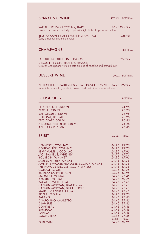| <b>SPARKLING WINE</b>                                                                                                                                                                                                                                                                                                                                                                                                                                                                                                                                                                               | 175 ML                                                                                                                                       | BOTTLE <sub>750ml</sub>                                                                                                                                                                                                                                              |
|-----------------------------------------------------------------------------------------------------------------------------------------------------------------------------------------------------------------------------------------------------------------------------------------------------------------------------------------------------------------------------------------------------------------------------------------------------------------------------------------------------------------------------------------------------------------------------------------------------|----------------------------------------------------------------------------------------------------------------------------------------------|----------------------------------------------------------------------------------------------------------------------------------------------------------------------------------------------------------------------------------------------------------------------|
| VAPORETTO PROSECCO NV, ITALY<br>Flavors and aromas of fruity apple with light hints of apricot and citrus.                                                                                                                                                                                                                                                                                                                                                                                                                                                                                          |                                                                                                                                              | £7.45 £27.95                                                                                                                                                                                                                                                         |
| BELSTAR CUVEE ROSE SPARKLING NV, ITALY<br>Zesty grapefruit and melon notes                                                                                                                                                                                                                                                                                                                                                                                                                                                                                                                          |                                                                                                                                              | £28.95                                                                                                                                                                                                                                                               |
| <b>CHAMPAGNE</b>                                                                                                                                                                                                                                                                                                                                                                                                                                                                                                                                                                                    |                                                                                                                                              | BOTTLE <sub>750ml</sub>                                                                                                                                                                                                                                              |
| LACOURTE-GODBILLON TERROIRS<br>D'ECUEIL 1ER CRU BRUT NV, FRANCE<br>Grower Champagne with intricate aromas of hazelnut and orchard fruits                                                                                                                                                                                                                                                                                                                                                                                                                                                            |                                                                                                                                              | £59.95                                                                                                                                                                                                                                                               |
| <b>DESSERT WINE</b>                                                                                                                                                                                                                                                                                                                                                                                                                                                                                                                                                                                 | 100 ML                                                                                                                                       | BOTTLE 750ml                                                                                                                                                                                                                                                         |
| PETIT GUIRAUD SAUTERNES 2016, FRANCE, 375 ML £6.75 £27.95<br>Incredibly fresh with grapefruit, passion fruit and pineapple sweetness                                                                                                                                                                                                                                                                                                                                                                                                                                                                |                                                                                                                                              |                                                                                                                                                                                                                                                                      |
| <b>BEER &amp; CIDER</b>                                                                                                                                                                                                                                                                                                                                                                                                                                                                                                                                                                             |                                                                                                                                              | <b>BOTTLE</b> 750ml                                                                                                                                                                                                                                                  |
| EFES PILSENER, 330 ML<br>PERONI, 330 ML<br>SAN MIGUEL, 330 ML                                                                                                                                                                                                                                                                                                                                                                                                                                                                                                                                       |                                                                                                                                              | £4.95<br>£5.25<br>£4.95                                                                                                                                                                                                                                              |
| CORONA, 330 ML<br>EFES DRAFT, 500 ML<br>ALCOHOL FREE BEER, 330 ML<br>APPLE CIDER, 500ML                                                                                                                                                                                                                                                                                                                                                                                                                                                                                                             |                                                                                                                                              | £5.25<br>£6.45<br>£4.25<br>£6.45                                                                                                                                                                                                                                     |
| SPIRIT                                                                                                                                                                                                                                                                                                                                                                                                                                                                                                                                                                                              | <b>25 ML</b>                                                                                                                                 | 50 ML                                                                                                                                                                                                                                                                |
| HENNESSY, COGNAC<br>COURVOISIER, COGNAC<br>REMY MARTIN, COGNAC<br>JACK DANIEL'S, WHISKEY<br><b>BOURBON, WHISKEY</b><br><b>JAMESON, IRISH WHISKY</b><br>JOHNNIE WALKER RED LABEL, SCOTCH WHISKY<br>THE FAMOUS GROUSE, SCOTH WHISKY<br><b>GORDON'S, GIN</b><br><b>BOMBAY SAPPHIRE, GIN</b><br>SMIRNOFF, VODKA<br><b>ABSOLUT, VODKA</b><br><b>BACARDI, WHITE RUM</b><br>CAPTAIN MORGAN, BLACK RUM<br>CAPTAIN MORGAN, SPICED GOLD<br>MALIBU, CARIBBEAN RUM<br>SIERRA, TEQUILA<br><b>BAILEY'S</b><br><b>DISARONNO AMARETTO</b><br><b>DRAMBUIE</b><br><b>COINTREAU</b><br><b>SAMBUCA</b><br><b>KAHLUA</b> | £4.75<br>£4.75<br>£4.95<br>£4.75<br>£4.95<br>£4.75<br>£4.75<br>£4.75<br>£4.75<br>£4.45<br>£4.45<br>£4.45<br>£4.45<br>£4.45<br>£4.45<br>£4.45 | £7.75<br>£7.75<br>£7.95<br>£7.75<br>£7.95<br>£7.75<br>£7.75<br>£7.75<br>£7.75<br>£4.95 £7.95<br>£7.45<br>£4.75 £7.75<br>£7.45<br>£7.75<br>£7.75<br>£7.45<br>£4.75 £7.75<br>£4.45 £7.45<br>£4.45 £7.45<br>£7.45<br>£4.45 £7.45<br>£4.45 £7.45<br>£4.45 £7.45<br>£7.45 |